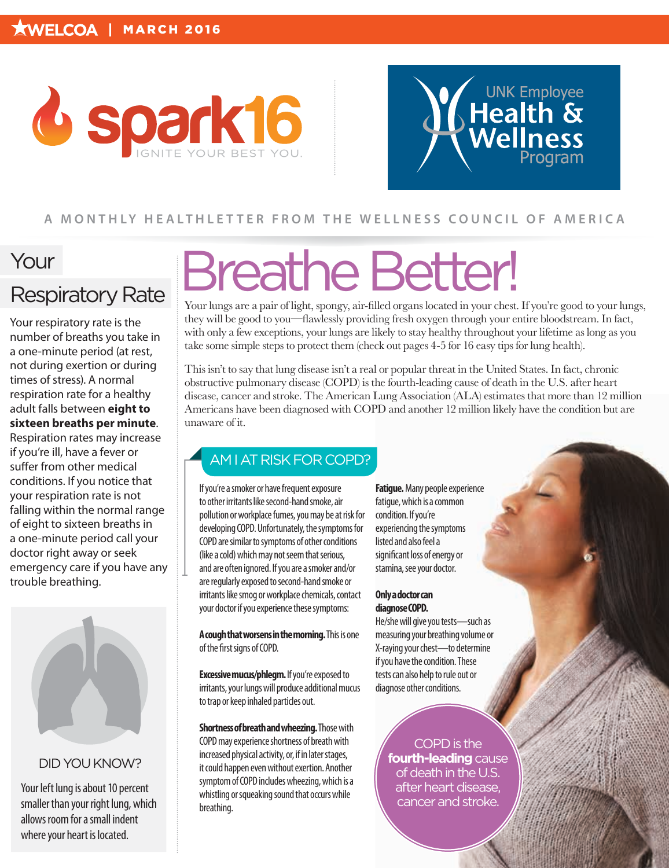



#### **A MONTHLY HEALTHLET TER FROM THE WELLNESS COUNCIL OF AMERICA**

## Your

### Respiratory Rate

Your respiratory rate is the number of breaths you take in a one-minute period (at rest, not during exertion or during times of stress). A normal respiration rate for a healthy adult falls between **eight to sixteen breaths per minute**. Respiration rates may increase

if you're ill, have a fever or suffer from other medical conditions. If you notice that your respiration rate is not falling within the normal range of eight to sixteen breaths in a one-minute period call your doctor right away or seek emergency care if you have any trouble breathing.



#### DID YOU KNOW?

Your left lung is about 10 percent smaller than your right lung, which allows room for a small indent where your heart is located.

## Breathe Better!

Your lungs are a pair of light, spongy, air-filled organs located in your chest. If you're good to your lungs, they will be good to you—flawlessly providing fresh oxygen through your entire bloodstream. In fact, with only a few exceptions, your lungs are likely to stay healthy throughout your lifetime as long as you take some simple steps to protect them (check out pages 4-5 for 16 easy tips for lung health).

This isn't to say that lung disease isn't a real or popular threat in the United States. In fact, chronic obstructive pulmonary disease (COPD) is the fourth-leading cause of death in the U.S. after heart disease, cancer and stroke. The American Lung Association (ALA) estimates that more than 12 million Americans have been diagnosed with COPD and another 12 million likely have the condition but are unaware of it.

#### AM I AT RISK FOR COPD?

If you're a smoker or have frequent exposure to other irritants like second-hand smoke, air pollution or workplace fumes, you may be at risk for developing COPD. Unfortunately, the symptoms for COPD are similar to symptoms of other conditions (like a cold) which may not seem that serious, and are often ignored. If you are a smoker and/or are regularly exposed to second-hand smoke or irritants like smog or workplace chemicals, contact your doctor if you experience these symptoms:

**A cough that worsens in the morning.** This is one of the first signs of COPD.

**Excessive mucus/phlegm.** If you're exposed to irritants, your lungs will produce additional mucus to trap or keep inhaled particles out.

**Shortness of breath and wheezing.** Those with COPD may experience shortness of breath with increased physical activity, or, if in later stages, it could happen even without exertion. Another symptom of COPD includes wheezing, which is a whistling or squeaking sound that occurs while breathing.

**Fatigue.** Many people experience fatigue, which is a common condition. If you're experiencing the symptoms listed and also feel a significant loss of energy or stamina, see your doctor.

#### **Only a doctor can diagnose COPD.**

He/she will give you tests—such as measuring your breathing volume or X-raying your chest—to determine if you have the condition. These tests can also help to rule out or diagnose other conditions.

> COPD is the **fourth-leading** cause of death in the U.S. after heart disease, cancer and stroke.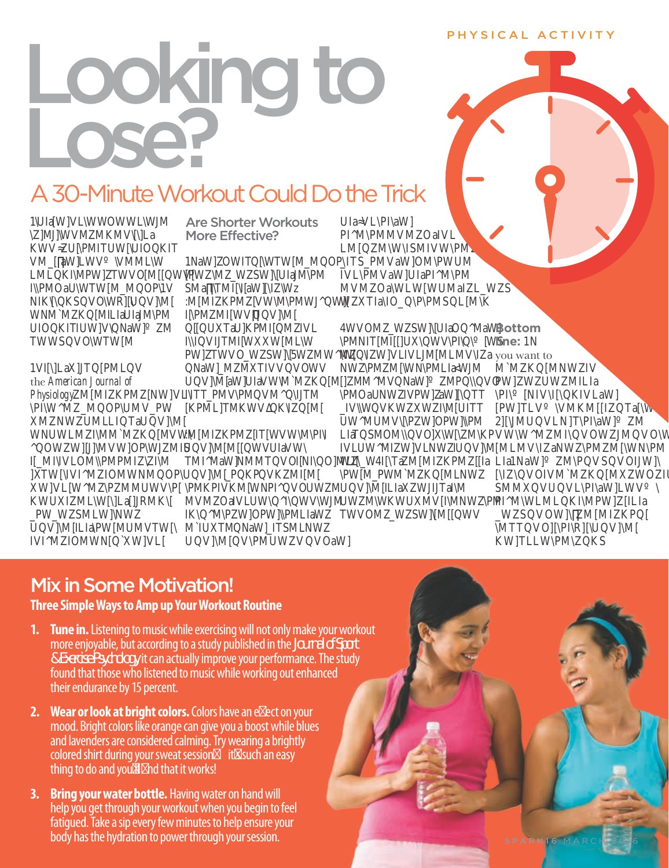#### PHYSICAL ACTIVITY

# Looking to Lose?

## A 30-Minute Workout Could Do the Trick

Are Shorter Workouts More Effective?

1NaWOWITWTWMMOP PWMWSWUIaMPM SMalTMIlaWW :MMIKPMVWMPMWW **PMMIWWW** UTaUKPMIMIVL **IIVITMIWWMLW** PWTWVOWSWWMWM NaWMTIVVVOWV UWaWUIaVWMMKM **IITTPMVPMVMITM** KPMLTMKWVKIM

:MMIKPMTWVWMPI UVMMWVUIaVW TMIMaWNMMTVOINIOMLI UV WPKP V KMIM PMKPIVKMWNPIVOUWM MVMOaIVLUWWWWM IKMPWOPWPMLIaW MIUTMNaWTSMLNW UVMVPMUWVVOaW

**UIaVLPIaW** PIMPMMVMOaIVL LMMWISMIVWPM ITSPMVaWOMPWUM IVLPMVaWUIaPIMPM **MVMOaWLWWUMaILWS** WTIaIOPPMSLMK

WVOMWSWUIaOMaW PMNITMIUWVRWS WWVLIVLMMLMVla NWPMMWNPMLIAWM MMWNaWMPVO PMOaUNWIVPWAWTT IVWVKWWIMUITT UWMUMVPWOPWPM LIaTSMOMVOWMKP IVLUWMIWVLNWUW WWITaMMIKPMa PWMPWMMKMLNW UVMILIaWITaIM UWMWKWUMVIMNWPM TWVOMWSWMWV  $\overline{a}$  $\lambda$  $\mathcal{A}$  $\lambda$ 

**Bottom line:** 1N you want to

 $\lambda$ 

 $\mathbf{a}$ aa

 $\mathbf{a}$ 

the *American Journal of*  **Physiology** *\PI\W^MZ\_QOP\UMV\_PW*

 $\bm{l}$ *WNUWLMZI\MM`MZKQ[MVW\ ^QOWZW][J]\MVW]OP\WJZMIS*  $\blacksquare$ *]XTW[\IV^MZIOMWNMQOP\ XW]VL[W^MZ\PZMUWV\P[*  $\bm{\Lambda}$ *\_PW\_WZSMLW]\NWZ UQV]\M[ILIa\PW[MUMVTW[\ IVI^MZIOMWN[Q`XW]VL[*